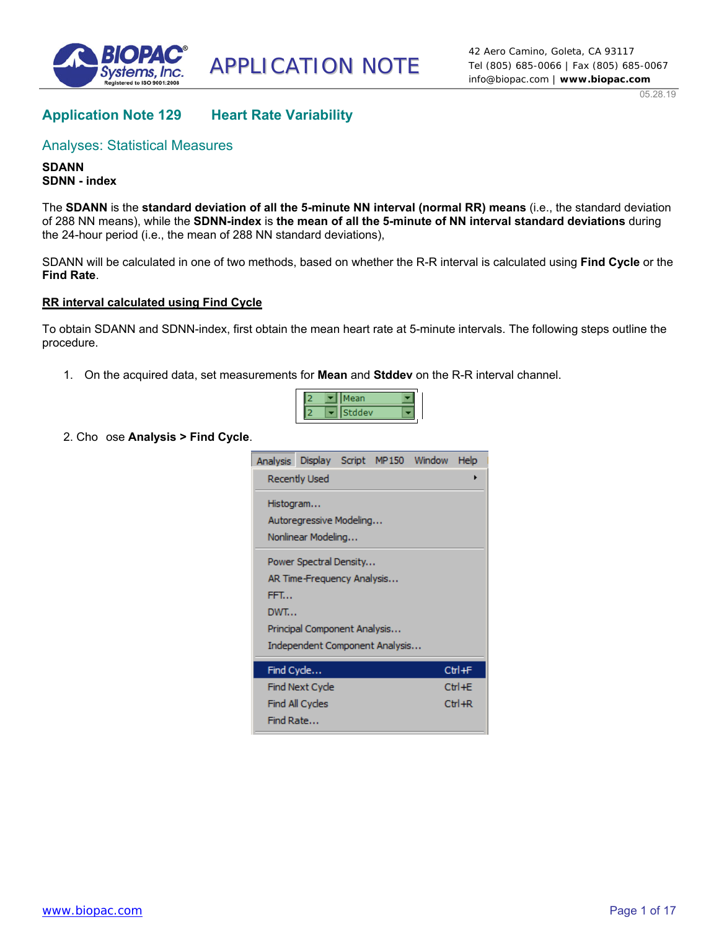

APPLICATION NOTE

05.28.19

# **Application Note 129 Heart Rate Variability**

## Analyses: Statistical Measures

**SDANN SDNN - index** 

The **SDANN** is the **standard deviation of all the 5-minute NN interval (normal RR) means** (i.e., the standard deviation of 288 NN means), while the **SDNN-index** is **the mean of all the 5-minute of NN interval standard deviations** during the 24-hour period (i.e., the mean of 288 NN standard deviations),

SDANN will be calculated in one of two methods, based on whether the R-R interval is calculated using **Find Cycle** or the **Find Rate**.

### **RR interval calculated using Find Cycle**

To obtain SDANN and SDNN-index, first obtain the mean heart rate at 5-minute intervals. The following steps outline the procedure.

1. On the acquired data, set measurements for **Mean** and **Stddev** on the R-R interval channel.



2. Cho ose **Analysis > Find Cycle**.

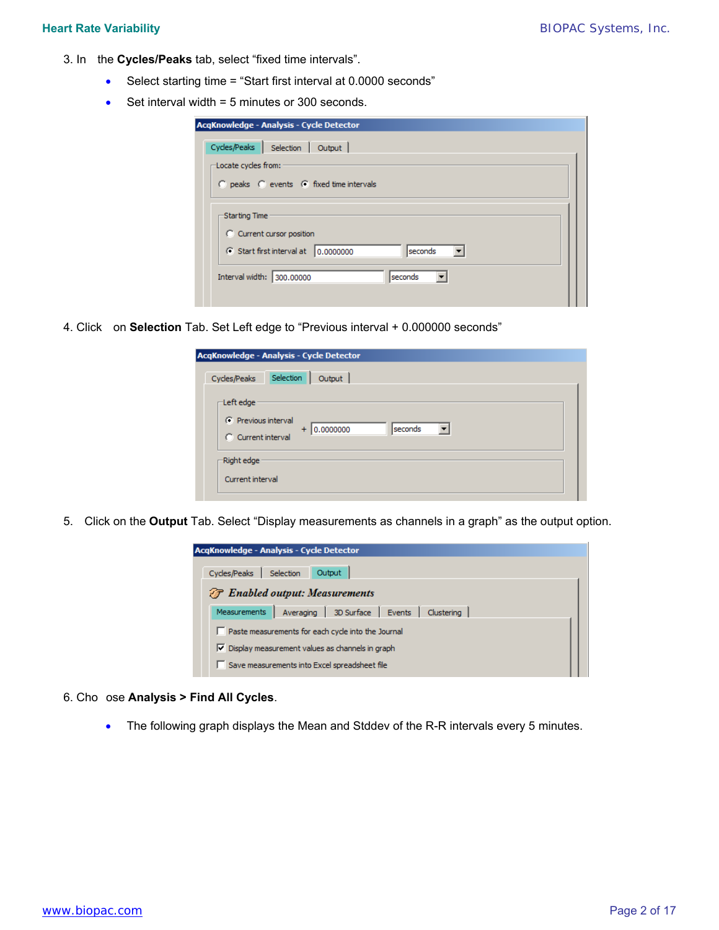- 3. In the **Cycles/Peaks** tab, select "fixed time intervals".
	- Select starting time = "Start first interval at 0.0000 seconds"
	- Set interval width  $= 5$  minutes or 300 seconds.

|                      | AcgKnowledge - Analysis - Cycle Detector                           |
|----------------------|--------------------------------------------------------------------|
|                      | Cycles/Peaks   Selection   Output                                  |
| -Locate cycles from: |                                                                    |
|                      | $\bigcirc$ peaks $\bigcirc$ events $\bigcirc$ fixed time intervals |
|                      |                                                                    |
| Starting Time        |                                                                    |
|                      | C Current cursor position                                          |
|                      | G Start first interval at 0.0000000<br>seconds                     |
|                      |                                                                    |
|                      | Interval width: 300.00000<br>seconds                               |
|                      |                                                                    |

4. Click on **Selection** Tab. Set Left edge to "Previous interval + 0.000000 seconds"

| Selection<br>Cycles/Peaks<br>Output<br>$\sqsubset$ Left edge $\cdot$<br>C Previous interval<br>seconds<br>0.0000000<br>$+$<br>C Current interval<br>-Right edge<br>Current interval | AcqKnowledge - Analysis - Cycle Detector |
|-------------------------------------------------------------------------------------------------------------------------------------------------------------------------------------|------------------------------------------|
|                                                                                                                                                                                     |                                          |
|                                                                                                                                                                                     |                                          |
|                                                                                                                                                                                     |                                          |

5. Click on the **Output** Tab. Select "Display measurements as channels in a graph" as the output option.

| AcqKnowledge - Analysis - Cycle Detector                                     |  |  |  |  |  |  |
|------------------------------------------------------------------------------|--|--|--|--|--|--|
| Cycles/Peaks<br>Selection<br>Output<br><b>F</b> Enabled output: Measurements |  |  |  |  |  |  |
| Averaging 3D Surface Events Clustering<br><b>Measurements</b>                |  |  |  |  |  |  |
| Paste measurements for each cycle into the Journal                           |  |  |  |  |  |  |
| $\triangledown$ Display measurement values as channels in graph              |  |  |  |  |  |  |
| Save measurements into Excel spreadsheet file                                |  |  |  |  |  |  |

- 6. Cho ose **Analysis > Find All Cycles**.
	- The following graph displays the Mean and Stddev of the R-R intervals every 5 minutes.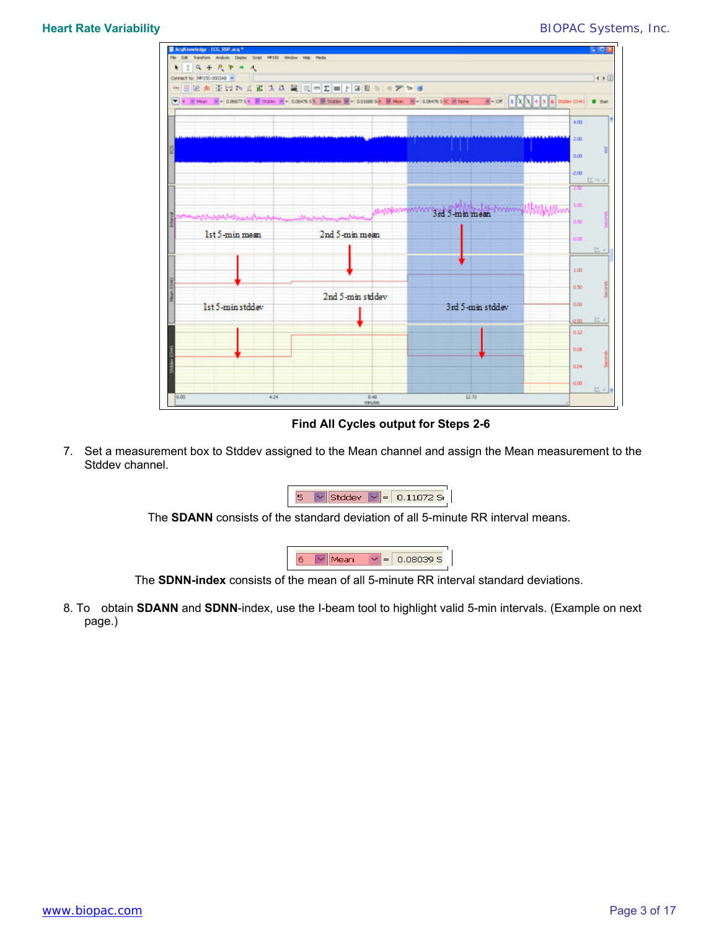

**Find All Cycles output for Steps 2-6** 

7. Set a measurement box to Stddev assigned to the Mean channel and assign the Mean measurement to the Stddev channel.

| w |  | .1072 SL<br>. |
|---|--|---------------|
|---|--|---------------|

The **SDANN** consists of the standard deviation of all 5-minute RR interval means.



The **SDNN-index** consists of the mean of all 5-minute RR interval standard deviations.

8. To obtain **SDANN** and **SDNN**-index, use the I-beam tool to highlight valid 5-min intervals. (Example on next page.)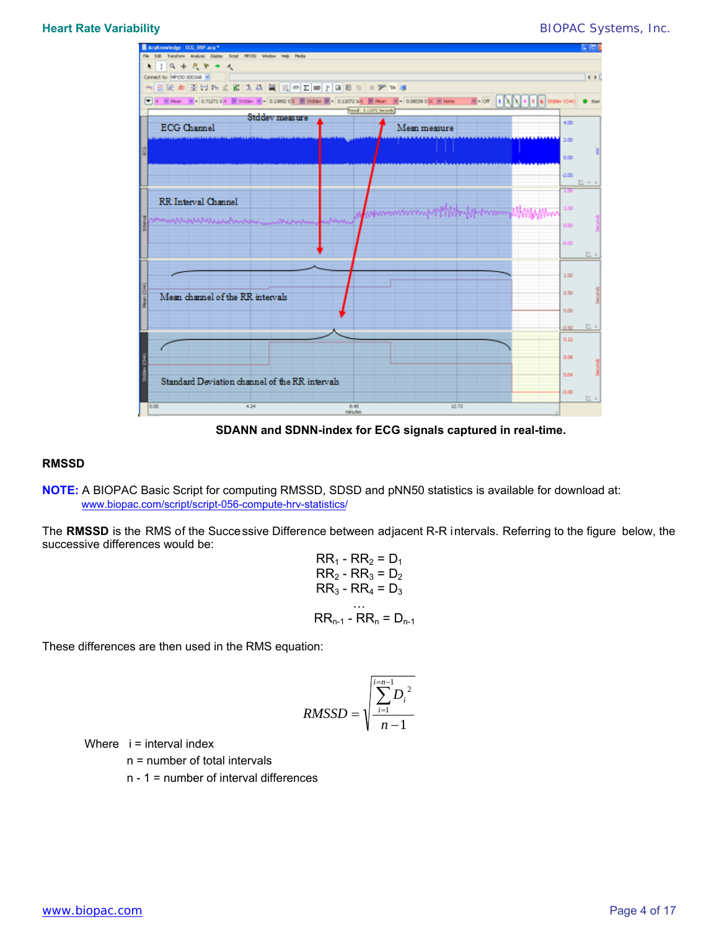### **Heart Rate Variability** *BIOPAC* Systems, Inc.



**SDANN and SDNN-index for ECG signals captured in real-time.** 

### **RMSSD**

**NOTE:** [A BIOPAC Basic Script for computing RMSSD, SDSD and pNN50 statistics is available for download at:](https://www.biopac.com/script/script-056-compute-hrv-statistics/) www.biopac.com/script/script-056-compute-hrv-statistics/

The **RMSSD** is the RMS of the Successive Difference between adjacent R-R intervals. Referring to the figure below, the successive differences would be:

$$
RR1 - RR2 = D1
$$
  
\n
$$
RR2 - RR3 = D2
$$
  
\n
$$
RR3 - RR4 = D3
$$
  
\n...  
\n
$$
RRn-1 - RRn = Dn-1
$$

These differences are then used in the RMS equation:

$$
RMSSD = \sqrt{\sum_{i=1}^{i=n-1} D_i^2}
$$

Where  $i =$  interval index

n = number of total intervals

n - 1 = number of interval differences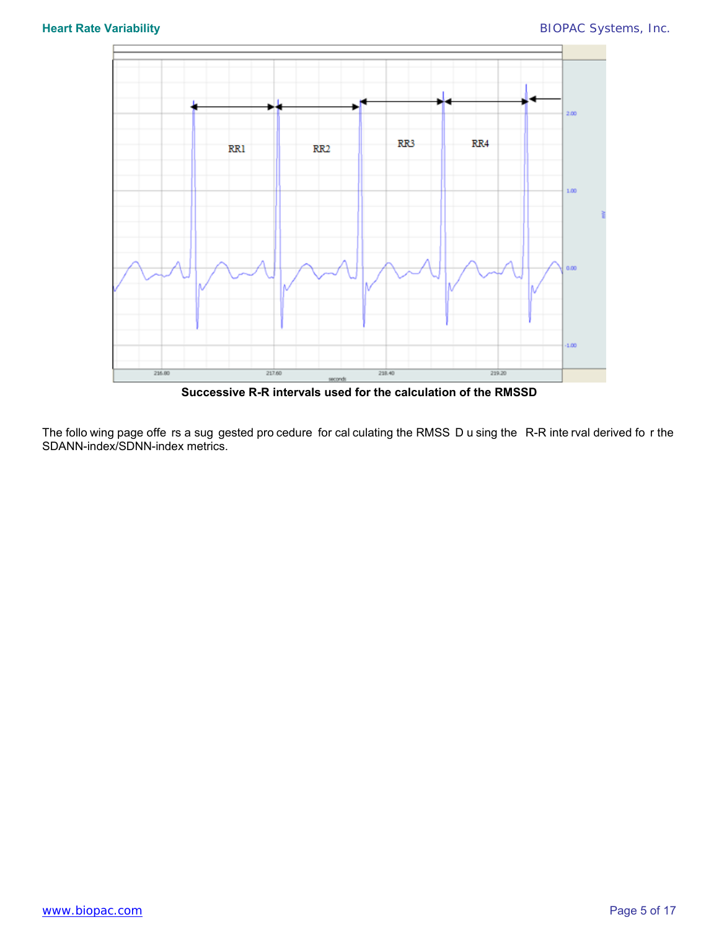

**Successive R-R intervals used for the calculation of the RMSSD** 

The follo wing page offe rs a sug gested pro cedure for cal culating the RMSS D u sing the R-R inte rval derived fo r the SDANN-index/SDNN-index metrics.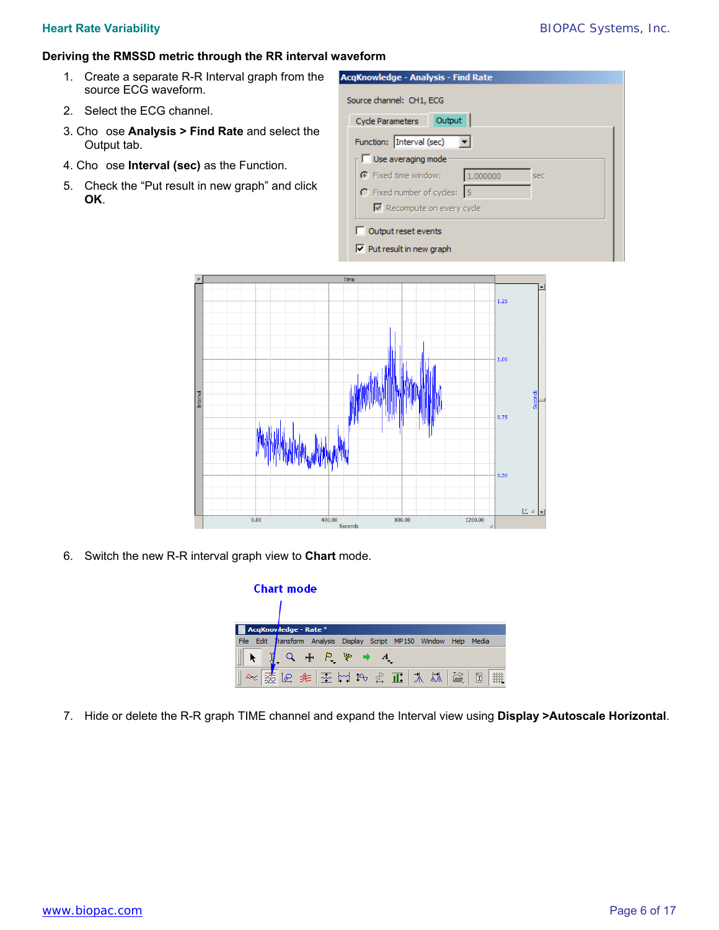### **Heart Rate Variability** *BIOPAC* Systems, Inc.

### **Deriving the RMSSD metric through the RR interval waveform**

- 1. Create a separate R-R Interval graph from the source ECG waveform.
- 2. Select the ECG channel.
- 3. Cho ose **Analysis > Find Rate** and select the Output tab.
- 4. Cho ose **Interval (sec)** as the Function.
- 5. Check the "Put result in new graph" and click **OK**.

| Cycle Parameters    Qutput        |  |          |     |  |  |
|-----------------------------------|--|----------|-----|--|--|
| Function: Interval (sec)          |  |          |     |  |  |
| $\Box$ Use averaging mode         |  |          |     |  |  |
| Fixed time window:                |  | 1.000000 | sec |  |  |
| C Fixed number of cycles: 5       |  |          |     |  |  |
| $\nabla$ Recompute on every cycle |  |          |     |  |  |



6. Switch the new R-R interval graph view to **Chart** mode.

| <b>Chart mode</b> |                        |  |       |         |  |              |            |      |       |                      |
|-------------------|------------------------|--|-------|---------|--|--------------|------------|------|-------|----------------------|
|                   |                        |  |       |         |  |              |            |      |       |                      |
|                   | AcqKnov/ledge - Rate * |  |       |         |  |              |            |      |       |                      |
| File Edit         | Transform Analysis     |  |       | Display |  | Script MP150 | Window     | Help | Media |                      |
|                   |                        |  | 中 に あ |         |  |              |            |      |       |                      |
|                   |                        |  |       |         |  |              | 医非医性内皮耳太热管 |      | ī     | .:.:.:.:<br>.:.:.:.: |

7. Hide or delete the R-R graph TIME channel and expand the Interval view using **Display >Autoscale Horizontal**.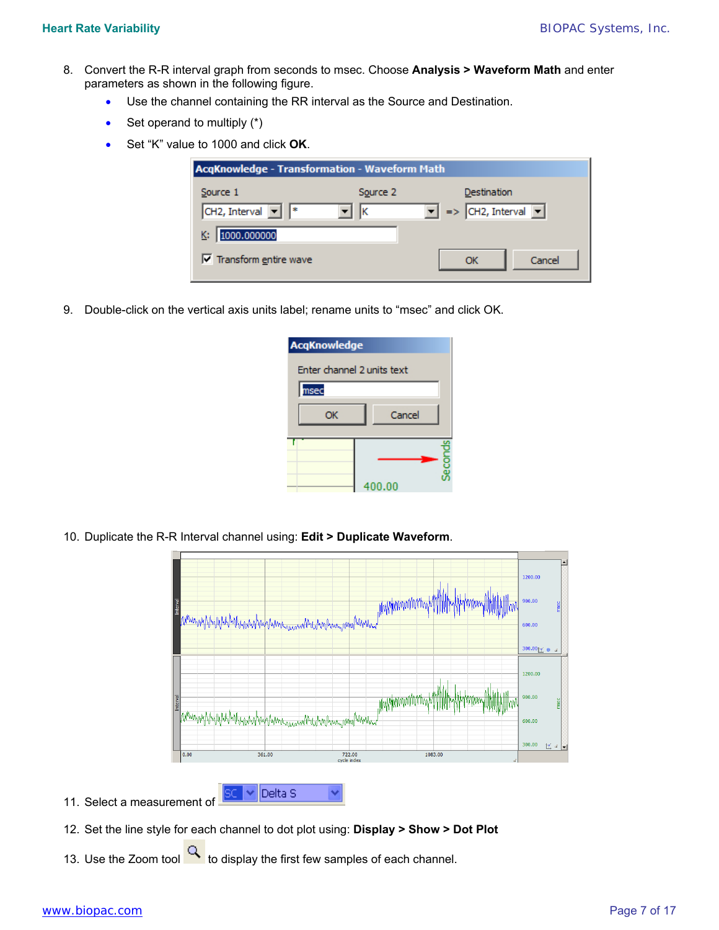- 8. Convert the R-R interval graph from seconds to msec. Choose **Analysis > Waveform Math** and enter parameters as shown in the following figure.
	- Use the channel containing the RR interval as the Source and Destination.
	- $\bullet$  Set operand to multiply  $(*)$
	- Set "K" value to 1000 and click **OK**.

| <b>AcqKnowledge - Transformation - Waveform Math</b> |          |                                      |  |  |  |  |
|------------------------------------------------------|----------|--------------------------------------|--|--|--|--|
| Source 1                                             | Source 2 | Destination                          |  |  |  |  |
| CH2, Interval $\boxed{\bullet}$ $\boxed{*}$          | lκ       | $\bullet$ => CH2, Interval $\bullet$ |  |  |  |  |
| 1000.000000                                          |          |                                      |  |  |  |  |
| $\overline{\mathsf{v}}$ Transform entire wave        |          | Cancel<br>OK                         |  |  |  |  |

9. Double-click on the vertical axis units label; rename units to "msec" and click OK.

| <b>AcqKnowledge</b>        |        |  |  |  |  |  |
|----------------------------|--------|--|--|--|--|--|
| Enter channel 2 units text |        |  |  |  |  |  |
| msec                       |        |  |  |  |  |  |
| OK                         | Cancel |  |  |  |  |  |
|                            |        |  |  |  |  |  |
|                            | cords  |  |  |  |  |  |
|                            | 400.00 |  |  |  |  |  |

10. Duplicate the R-R Interval channel using: **Edit > Duplicate Waveform**.



- 
- 12. Set the line style for each channel to dot plot using: **Display > Show > Dot Plot**
- 13. Use the Zoom tool  $\mathbb{R}$  to display the first few samples of each channel.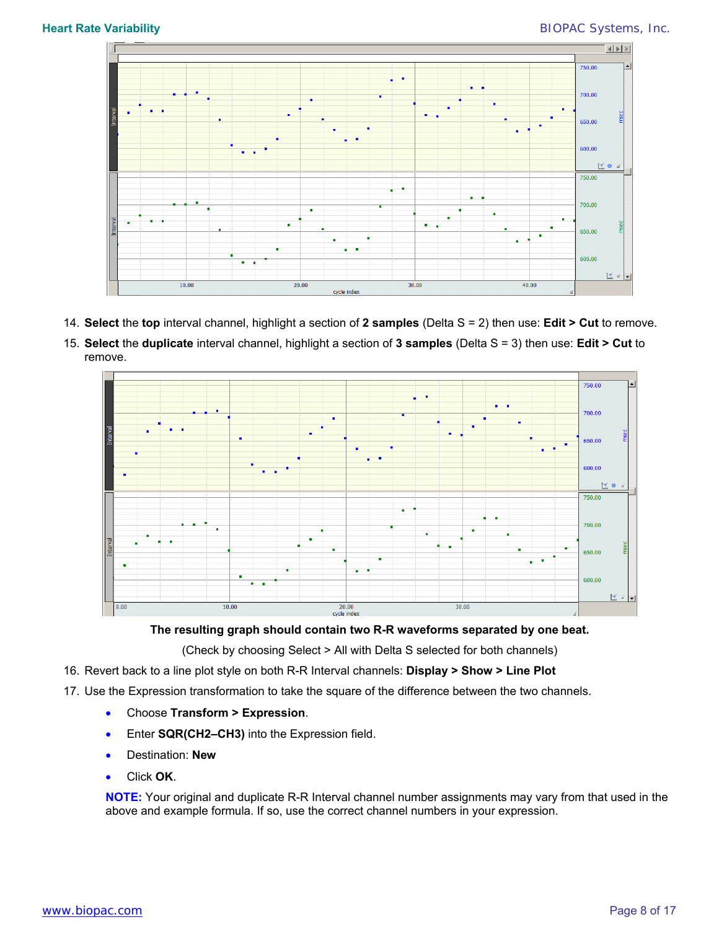

- 14. **Select** the **top** interval channel, highlight a section of **2 samples** (Delta S = 2) then use: **Edit > Cut** to remove.
- 15. **Select** the **duplicate** interval channel, highlight a section of **3 samples** (Delta S = 3) then use: **Edit > Cut** to remove.



**The resulting graph should contain two R-R waveforms separated by one beat.** 

(Check by choosing Select > All with Delta S selected for both channels)

- 16. Revert back to a line plot style on both R-R Interval channels: **Display > Show > Line Plot**
- 17. Use the Expression transformation to take the square of the difference between the two channels.
	- Choose **Transform > Expression**.
	- Enter **SQR(CH2–CH3)** into the Expression field.
	- Destination: **New**
	- Click **OK**.

**NOTE:** Your original and duplicate R-R Interval channel number assignments may vary from that used in the above and example formula. If so, use the correct channel numbers in your expression.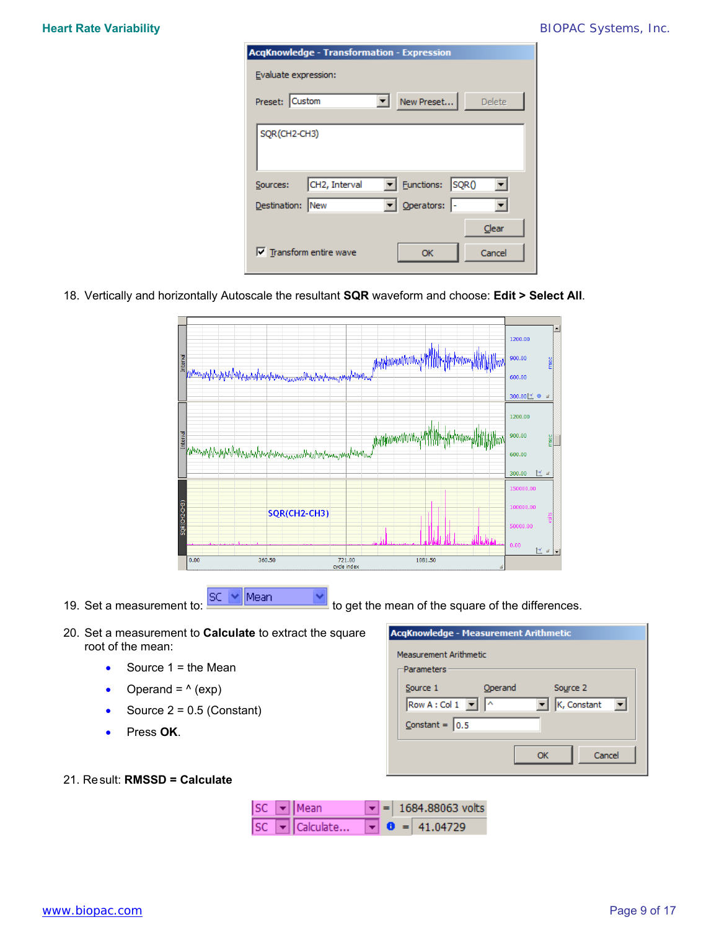| <b>AcgKnowledge - Transformation - Expression</b>       |
|---------------------------------------------------------|
| Evaluate expression:                                    |
| Preset: Custom<br>New Preset<br><b>Delete</b><br>▾╎     |
| SQR(CH2-CH3)                                            |
| Eunctions: SQRO<br>CH2, Interval<br>Sources:            |
| Derators:<br>Destination: New                           |
| Clear<br>$\nabla$ Transform entire wave<br>Cancel<br>ОК |

18. Vertically and horizontally Autoscale the resultant **SQR** waveform and choose: **Edit > Select All**.

|              |                                                                                                             | 1200.00                    | ∸     |
|--------------|-------------------------------------------------------------------------------------------------------------|----------------------------|-------|
|              | E pompozitypatenternationalmenternational<br>.//w/Nwww.www.yht<br>Allphont<br><b>ille-libohoopoonylijip</b> | 900.00                     | msec  |
|              |                                                                                                             | 600.00<br>300.00区 0<br>aî. |       |
|              |                                                                                                             | 1200.00                    |       |
| Interval     | Mappermannerving MMM<br><b>IM</b><br>where we physical and the more wind and we make the more way           | 900.00<br>600.00           | msec  |
|              |                                                                                                             | 医同<br>300.00               |       |
|              |                                                                                                             | 150000.00<br>100000.00     |       |
| SQR(CH2-CH3) | SQR(CH2-CH3)                                                                                                | 50000.00                   | volts |
|              |                                                                                                             | 0.00<br>医间间                |       |
|              | 0.00<br>360.50<br>721.00<br>1081.50<br>cycle index<br>aî                                                    |                            |       |

19. Set a measurement to:  $\frac{|SC| \times |M|}{|M|}$  to get the mean of the square of the differences.

- 20. Set a measurement to **Calculate** to extract the square root of the mean:
	- Source  $1 =$  the Mean
	- Operand =  $(exp)$
	- Source  $2 = 0.5$  (Constant)
	- Press **OK**.

| <b>AcgKnowledge - Measurement Arithmetic</b><br>Measurement Arithmetic |         |              |  |  |  |  |
|------------------------------------------------------------------------|---------|--------------|--|--|--|--|
| -Parameters                                                            |         |              |  |  |  |  |
| Source 1                                                               | Operand | Source 2     |  |  |  |  |
| Row A : Col $1$ $\boxed{\sim}$                                         |         | K, Constant  |  |  |  |  |
| $Constant =  0.5 $                                                     |         |              |  |  |  |  |
|                                                                        |         |              |  |  |  |  |
|                                                                        |         | Cancel<br>Ωĸ |  |  |  |  |

### 21. Result: **RMSSD = Calculate**

|  | $ SC  =  Mean $                                       |  | $\blacktriangleright$ = 1684.88063 volts |  |  |
|--|-------------------------------------------------------|--|------------------------------------------|--|--|
|  | SC $\bullet$ Calculate $\bullet$ $\bullet$ = 41.04729 |  |                                          |  |  |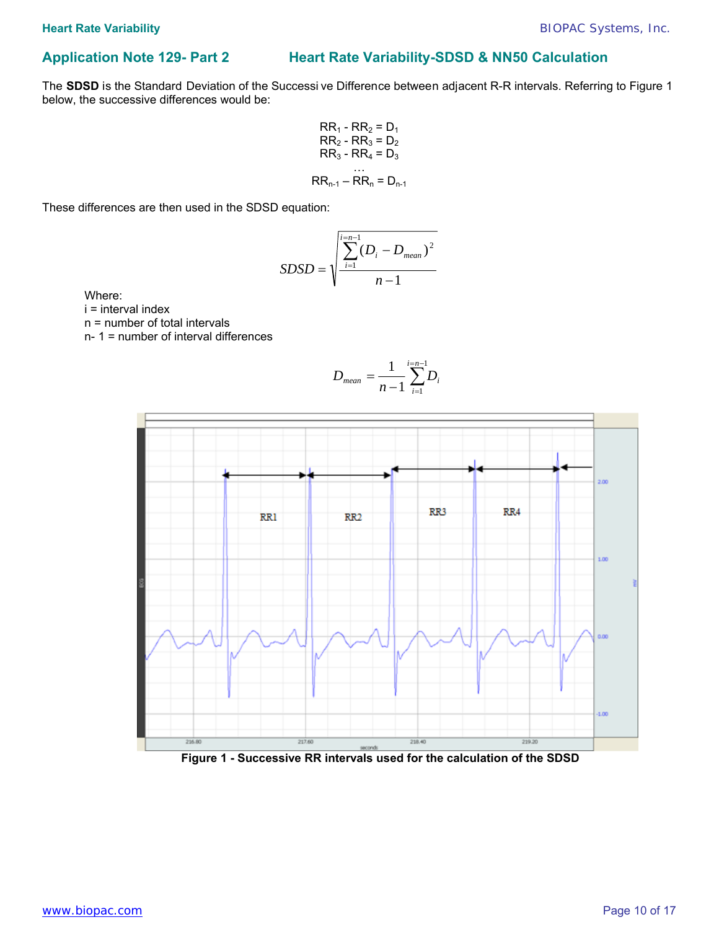# **Application Note 129- Part 2 Heart Rate Variability-SDSD & NN50 Calculation**

The **SDSD** is the Standard Deviation of the Successi ve Difference between adjacent R-R intervals. Referring to Figure 1 below, the successive differences would be:

$$
RR_1 - RR_2 = D_1
$$
  
\n
$$
RR_2 - RR_3 = D_2
$$
  
\n
$$
RR_3 - RR_4 = D_3
$$
  
\n...  
\n
$$
RR_{n-1} - RR_n = D_{n-1}
$$

These differences are then used in the SDSD equation:

$$
SDSD = \sqrt{\frac{\sum_{i=1}^{i=n-1} (D_i - D_{mean})^2}{n-1}}
$$

Where:

i = interval index

n = number of total intervals

n- 1 = number of interval differences

$$
D_{mean} = \frac{1}{n-1} \sum_{i=1}^{i=n-1} D_i
$$



 **Figure 1 - Successive RR intervals used for the calculation of the SDSD**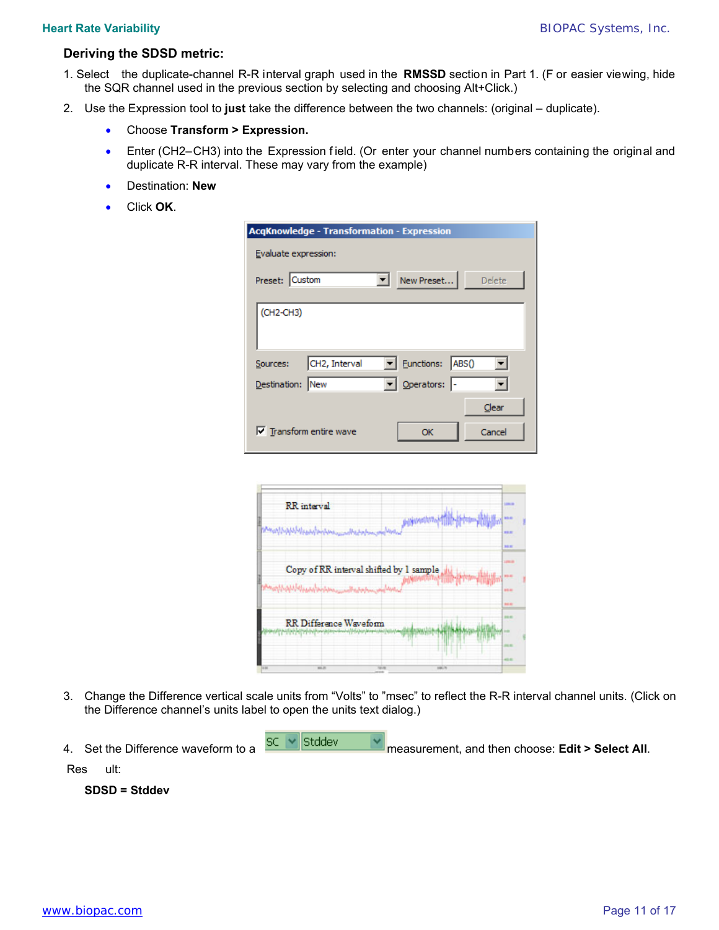### **Deriving the SDSD metric:**

- 1. Select the duplicate-channel R-R interval graph used in the **RMSSD** section in Part 1. (F or easier viewing, hide the SQR channel used in the previous section by selecting and choosing Alt+Click.)
- 2. Use the Expression tool to **just** take the difference between the two channels: (original duplicate).
	- Choose **Transform > Expression.**
	- Enter (CH2–CH3) into the Expression field. (Or enter your channel numbers containing the original and duplicate R-R interval. These may vary from the example)
	- Destination: **New**
	- Click **OK**.

| <b>AcqKnowledge - Transformation - Expression</b>                                 |
|-----------------------------------------------------------------------------------|
| Evaluate expression:                                                              |
| Preset: Custom<br>New Preset<br>Delete                                            |
| (CH2-CH3)                                                                         |
| $\blacktriangleright$ Eunctions:<br>CH2, Interval<br>ABS <sub>0</sub><br>Sources: |
| Derators:<br>Destination: New                                                     |
| Clear<br>$\triangledown$ Transform entire wave<br>Cancel<br>ОК                    |

|     | <b>RR</b> interval<br>التامة أسعى ممكن المترى المدرسة التامة أنشهة التالة           |                 |              | 1,000.00<br><b>MAIN</b><br><b>HAM</b><br>30.00     |  |
|-----|-------------------------------------------------------------------------------------|-----------------|--------------|----------------------------------------------------|--|
|     | Copy of RR interval shifted by 1 sample<br>واروق السيسومان وأعلينا أبالك الم        | <b>Salutage</b> |              | 109.9<br><b>WA MI</b><br><b>HEM</b><br><b>SHEM</b> |  |
|     | <b>RR</b> Difference Waveform<br><u>Latin Literature and the community relation</u> |                 |              | 39.97<br>-                                         |  |
| $-$ | <b>MALLEN</b>                                                                       | <b>TAXABLE</b>  | <b>SHELL</b> | $-0.04$                                            |  |

- 3. Change the Difference vertical scale units from "Volts" to "msec" to reflect the R-R interval channel units. (Click on the Difference channel's units label to open the units text dialog.)
- 

4. Set the Difference waveform to a  $\frac{SC}{d}$  stddev measurement, and then choose: **Edit > Select All**.

Res ult:

 **SDSD = Stddev**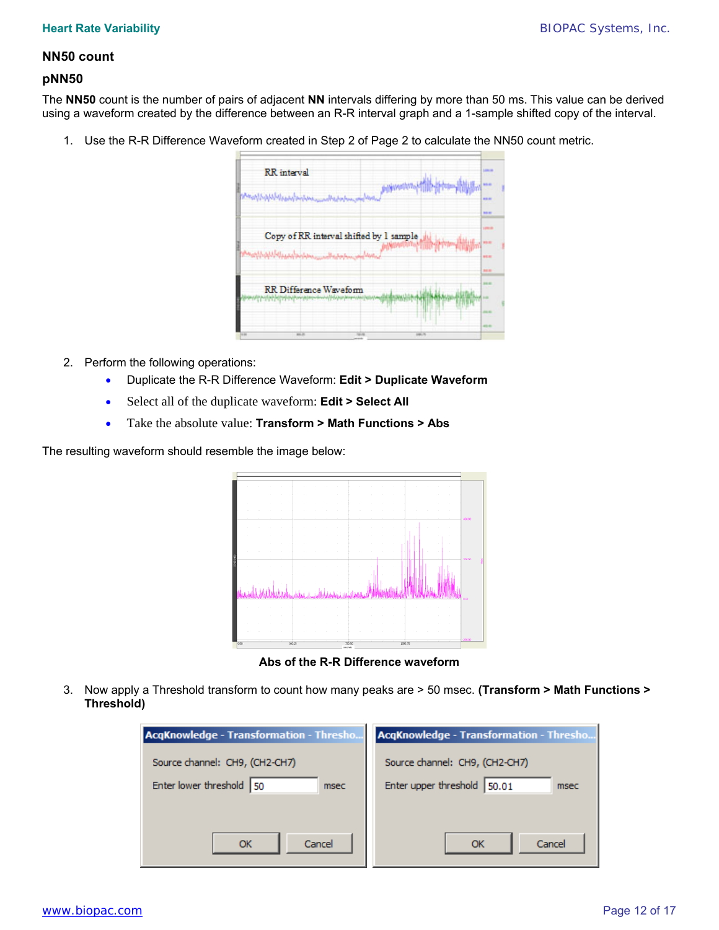## **NN50 count**

### **pNN50**

The **NN50** count is the number of pairs of adjacent **NN** intervals differing by more than 50 ms. This value can be derived using a waveform created by the difference between an R-R interval graph and a 1-sample shifted copy of the interval.

1. Use the R-R Difference Waveform created in Step 2 of Page 2 to calculate the NN50 count metric.

|       | <b>RR</b> interval                                                                                                                                                                                                                   | 1,051.00<br>55.60         |  |
|-------|--------------------------------------------------------------------------------------------------------------------------------------------------------------------------------------------------------------------------------------|---------------------------|--|
|       | الى الاستىلام بىرى ئىش ئىل ئىلىمى بىرى ئىش ئىلى ئىشى ئىل <sup>1</sup> ئىل                                                                                                                                                            | <b>BRID</b><br>30.00      |  |
|       | Copy of RR interval shifted by 1 sample                                                                                                                                                                                              | 19918<br><b>WA MI</b>     |  |
|       | <del>باردی السیب میزان باران دارا این را زاین</del><br><b>Controlling</b>                                                                                                                                                            | <b>HEAT</b><br><b>BER</b> |  |
|       | RR Difference Waveform                                                                                                                                                                                                               | 39.9                      |  |
|       | <u>In the College College College College College College College College College College College College College College College College College College College College College College College College College College Colleg</u> | -                         |  |
| 14.00 | <b>MALLEN</b><br>page, the<br>Talk All                                                                                                                                                                                               | 49.91                     |  |

- 2. Perform the following operations:
	- Duplicate the R-R Difference Waveform: **Edit > Duplicate Waveform**
	- Select all of the duplicate waveform: **Edit > Select All**
	- Take the absolute value: **Transform > Math Functions > Abs**

The resulting waveform should resemble the image below:

| $\sim$<br>$\sim$<br>$\sim$<br>$\sim$<br>$\sim$<br>×<br>٠<br>$\sim$<br>$\sim$<br>$\sim$ | $\sim$<br>$\sim$<br>$\sim$<br><b>College</b><br>×<br>×<br>× | $\sim$<br>on the<br>×<br>$\sim$<br>×<br>×<br>$\sim$ | $\sim$<br>×<br>$\sim$<br>×.<br>×<br>$\sim$<br>$\sim$<br>$\sim$<br>×<br>× | ٠<br>×<br>$\sim$<br>$\sim$<br>$\sim$<br>n.<br>$\sim$<br>$\sim$<br>$\sim$<br>$\sim$<br>$\sim$<br>$\sim$<br>$\sim$<br>×<br>٠<br>or.<br>n.<br>$\sim$<br>$\sim$<br>$\sim$<br>v.<br>× | 400.00        |
|----------------------------------------------------------------------------------------|-------------------------------------------------------------|-----------------------------------------------------|--------------------------------------------------------------------------|----------------------------------------------------------------------------------------------------------------------------------------------------------------------------------|---------------|
| $\sim$<br>$\sim$                                                                       | $\sim$<br>$\sim$<br>n.<br>$\sim$<br>- 1<br>$\sim$           | ×<br>$\sim$                                         | ×<br>×<br>٠<br>×<br>$\sim$<br>or in<br>т.<br>$\sim 10^{-1}$<br>n.<br>h.  | $\sim$<br><b>STATE</b>                                                                                                                                                           | 200.00<br>am. |
| $\sim$<br>- 10<br>$\sim$<br>$\sim$<br>×                                                | <b>Silver</b><br>$\sim$<br>×<br>×<br>×<br>×                 | <b>STATE</b><br>×<br>v.<br>×                        | $\sim$<br>×<br>$\sim$<br>o.<br>×<br>×<br>×<br>×                          | $\sim$<br>$\sim$<br>n.<br>×<br>$\sim$<br>$\alpha$<br>×<br>×<br>$\sim$<br>$\sim$<br>v.                                                                                            | sen no.       |

**Abs of the R-R Difference waveform** 

3. Now apply a Threshold transform to count how many peaks are > 50 msec. **(Transform > Math Functions > Threshold)** 

| <b>AcqKnowledge - Transformation - Thresho</b> | <b>AcqKnowledge - Transformation - Thresho</b> |
|------------------------------------------------|------------------------------------------------|
| Source channel: CH9, (CH2-CH7)                 | Source channel: CH9, (CH2-CH7)                 |
| Enter lower threshold<br>50<br>msec            | Enter upper threshold 50.01<br>msec            |
|                                                |                                                |
| Cancel<br>ОК                                   | Cancel<br>OK                                   |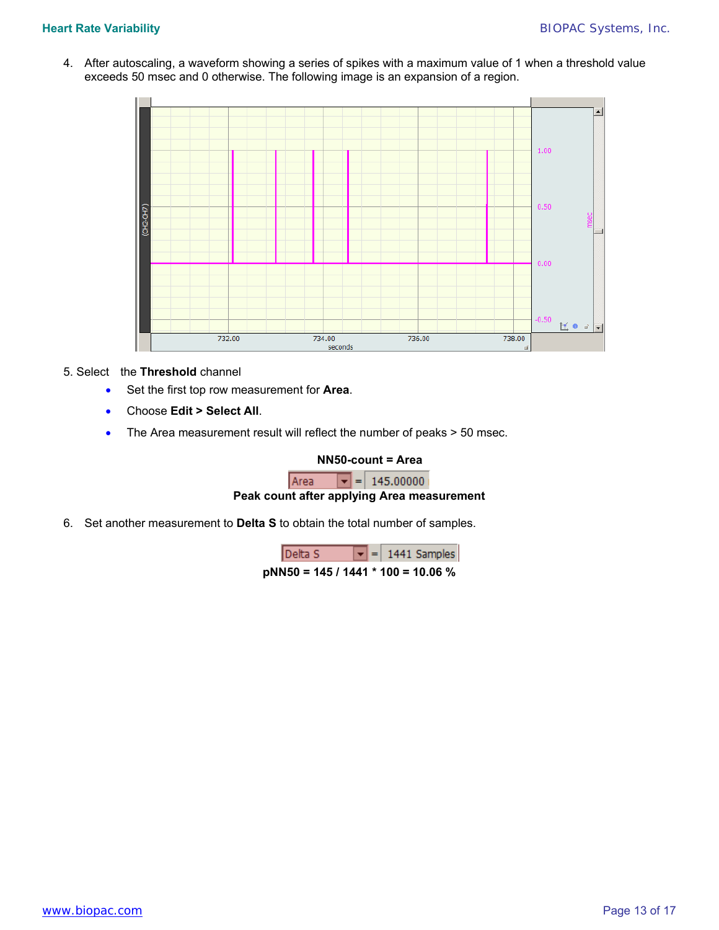4. After autoscaling, a waveform showing a series of spikes with a maximum value of 1 when a threshold value exceeds 50 msec and 0 otherwise. The following image is an expansion of a region.



### 5. Select the **Threshold** channel

- Set the first top row measurement for **Area**.
- Choose **Edit > Select All**.
- The Area measurement result will reflect the number of peaks > 50 msec.

### **NN50-count = Area**

 $\boxed{\mathbf{v}}$  = 145.00000 Area

## **Peak count after applying Area measurement**

6. Set another measurement to **Delta S** to obtain the total number of samples.

| Delta S                              |  | $\boxed{\mathbf{v}}$ = 1441 Samples |
|--------------------------------------|--|-------------------------------------|
| $pNN50 = 145 / 1441 * 100 = 10.06 %$ |  |                                     |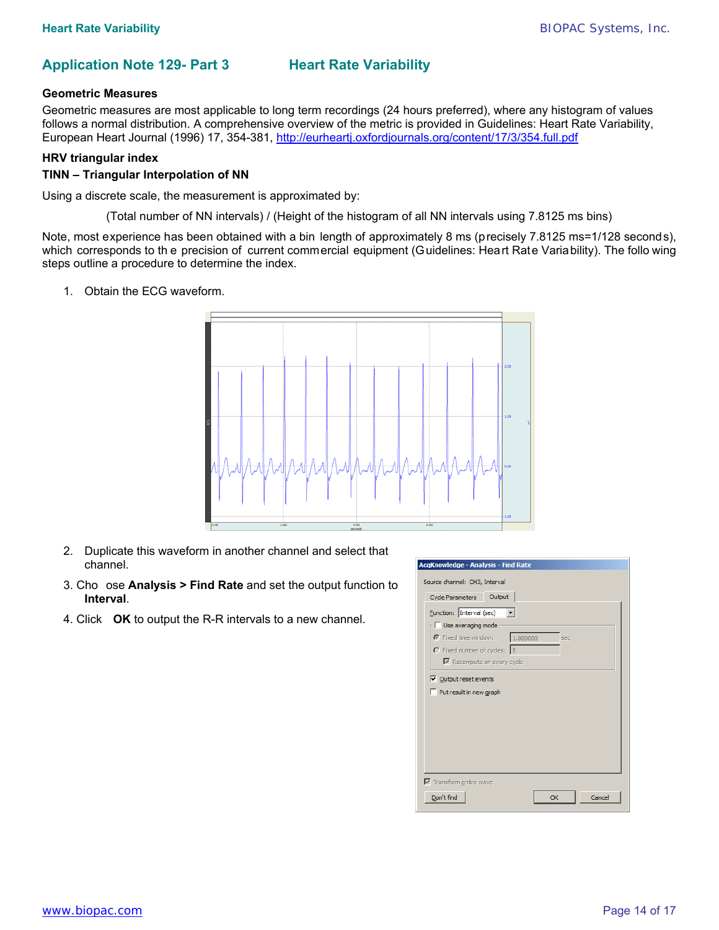# **Application Note 129- Part 3 Heart Rate Variability**

### **Geometric Measures**

Geometric measures are most applicable to long term recordings (24 hours preferred), where any histogram of values follows a normal distribution. A comprehensive overview of the metric is provided in Guidelines: Heart Rate Variability, European Heart Journal (1996) 17, 354-381, <http://eurheartj.oxfordjournals.org/content/17/3/354.full.pdf>

### **HRV triangular index**

### **TINN – Triangular Interpolation of NN**

Using a discrete scale, the measurement is approximated by:

(Total number of NN intervals) / (Height of the histogram of all NN intervals using 7.8125 ms bins)

Note, most experience has been obtained with a bin length of approximately 8 ms (precisely 7.8125 ms=1/128 seconds), which corresponds to th e precision of current commercial equipment (Guidelines: Heart Rate Variability). The follo wing steps outline a procedure to determine the index.

1. Obtain the ECG waveform.



- 2. Duplicate this waveform in another channel and select that channel.
- 3. Cho ose **Analysis > Find Rate** and set the output function to **Interval**.
- 4. Click **OK** to output the R-R intervals to a new channel.

| AcqKnowledge - Analysis - Find Rate                  |
|------------------------------------------------------|
| Source channel: CH3, Interval                        |
| Output<br>Cycle Parameters                           |
| <b>Eunction:</b> Interval (sec) $\blacktriangledown$ |
| $\Box$ Use averaging mode                            |
| 1.000000<br>Fixed time window:<br>sec                |
| C Fixed number of cycles: 5                          |
| Recompute on every cycle                             |
| $\nabla$ Output reset events                         |
| Put result in new graph                              |
|                                                      |
|                                                      |
|                                                      |
|                                                      |
|                                                      |
|                                                      |
| $\overline{\mathbf{V}}$ Transform entire wave        |
|                                                      |
| Don't find<br>Cancel<br>OK                           |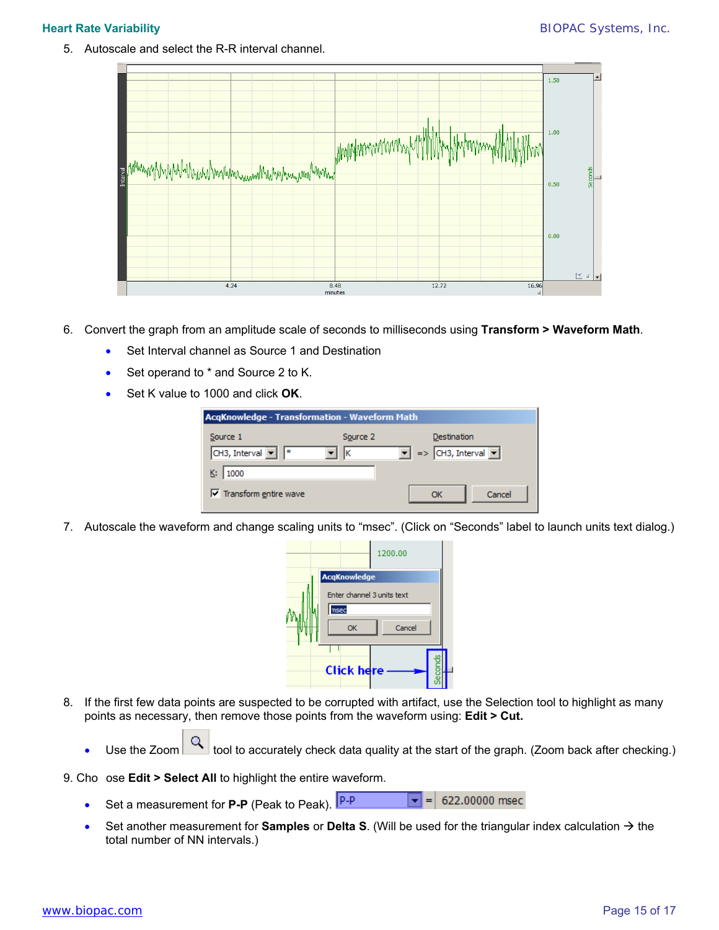5. Autoscale and select the R-R interval channel.



- 6. Convert the graph from an amplitude scale of seconds to milliseconds using **Transform > Waveform Math**.
	- Set Interval channel as Source 1 and Destination
	- Set operand to \* and Source 2 to K.
	- Set K value to 1000 and click **OK**.

| <b>AcqKnowledge - Transformation - Waveform Math</b>                      |                                                          |
|---------------------------------------------------------------------------|----------------------------------------------------------|
| Source 2<br>Source 1<br>CH3, Interval $\boxed{\bullet}$ $\boxed{*}$<br>lκ | Destination<br>$=$ > CH3, Interval $\blacktriangleright$ |
| 1000                                                                      |                                                          |
| $\triangledown$ Transform entire wave                                     | OK<br>Cancel                                             |

7. Autoscale the waveform and change scaling units to "msec". (Click on "Seconds" label to launch units text dialog.)



- 8. If the first few data points are suspected to be corrupted with artifact, use the Selection tool to highlight as many points as necessary, then remove those points from the waveform using: **Edit > Cut.** 
	- Use the Zoom  $\Box$  tool to accurately check data quality at the start of the graph. (Zoom back after checking.)

9. Cho ose **Edit > Select All** to highlight the entire waveform.

- Set a measurement for **P-P** (Peak to Peak).  $\vert \mathbf{v} \vert = \vert 622.00000 \text{ msec}$
- Set another measurement for **Samples** or **Delta S**. (Will be used for the triangular index calculation  $\rightarrow$  the total number of NN intervals.)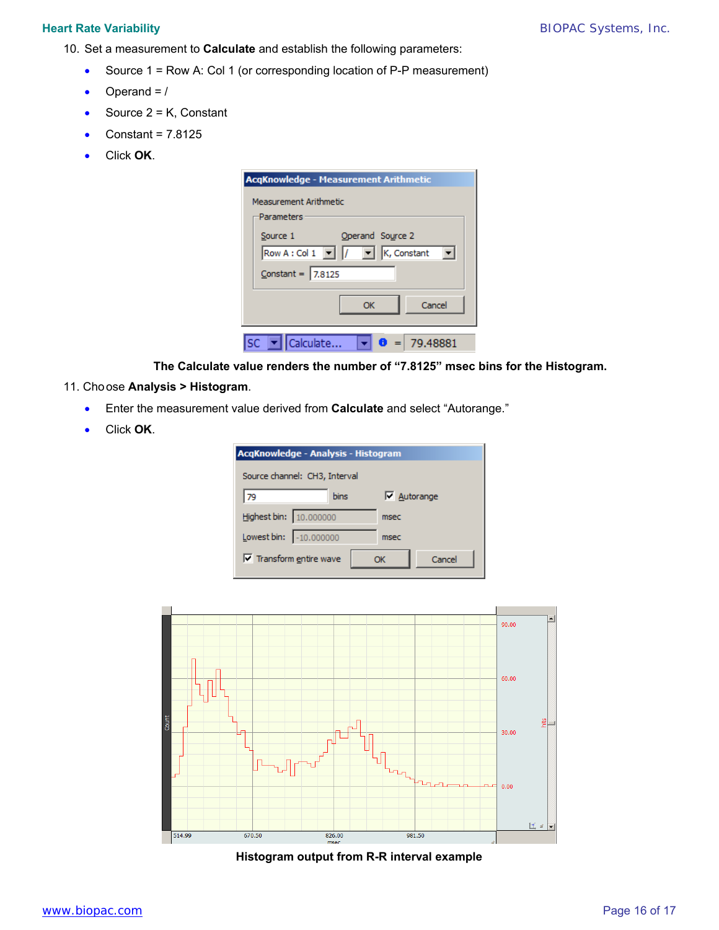- 10. Set a measurement to **Calculate** and establish the following parameters:
	- Source 1 = Row A: Col 1 (or corresponding location of P-P measurement)
	- Operand  $=$  /
	- Source  $2 = K$ , Constant
	- Constant = 7.8125
	- Click **OK**.

| <b>AcgKnowledge - Measurement Arithmetic</b>                                               |
|--------------------------------------------------------------------------------------------|
| <b>Measurement Arithmetic</b>                                                              |
| Parameters                                                                                 |
| Operand Source 2<br>Source 1                                                               |
| Row A : Col 1 $\boxed{\mathbf{v}}$ $\boxed{$ / $\boxed{\mathbf{v}}$ $\boxed{}$ K, Constant |
| $Constant = 7.8125$                                                                        |
| Cancel<br>ОК                                                                               |
| Calculate<br>$=$ 79.48881                                                                  |

**The Calculate value renders the number of "7.8125" msec bins for the Histogram.** 

## 11. Choose **Analysis > Histogram**.

- Enter the measurement value derived from **Calculate** and select "Autorange."
- Click **OK**.

| AcqKnowledge - Analysis - Histogram |             |                    |        |  |
|-------------------------------------|-------------|--------------------|--------|--|
| Source channel: CH3, Interval       |             |                    |        |  |
| 79                                  | <b>bins</b> | $\nabla$ Autorange |        |  |
| Highest bin: 10.000000              |             | msec               |        |  |
| Lowest bin: -10.000000              |             | msec               |        |  |
| $\nabla$ Transform entire wave      |             | Ωĸ                 | Cancel |  |



**Histogram output from R-R interval example**